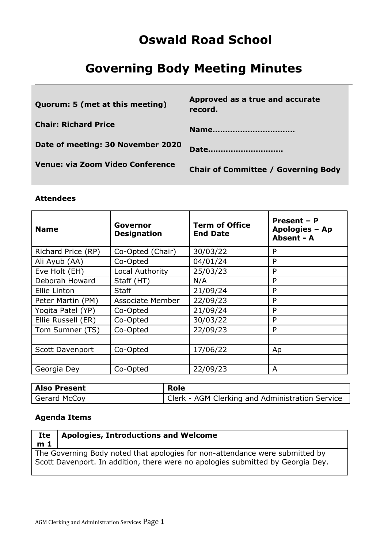# **Oswald Road School**

# **Governing Body Meeting Minutes**

| Quorum: 5 (met at this meeting)   | Approved as a true and accurate<br>record. |
|-----------------------------------|--------------------------------------------|
| <b>Chair: Richard Price</b>       | Name                                       |
| Date of meeting: 30 November 2020 | Date                                       |
| Venue: via Zoom Video Conference  | <b>Chair of Committee / Governing Body</b> |

### **Attendees**

| <b>Name</b>            | Governor<br><b>Designation</b> | <b>Term of Office</b><br><b>End Date</b> | Present - P<br>Apologies - Ap<br>Absent - A |
|------------------------|--------------------------------|------------------------------------------|---------------------------------------------|
| Richard Price (RP)     | Co-Opted (Chair)               | 30/03/22                                 | P                                           |
| Ali Ayub (AA)          | Co-Opted                       | 04/01/24                                 | P                                           |
| Eve Holt (EH)          | Local Authority                | 25/03/23                                 | P                                           |
| Deborah Howard         | Staff (HT)                     | N/A                                      | P                                           |
| Ellie Linton           | Staff                          | 21/09/24                                 | P                                           |
| Peter Martin (PM)      | <b>Associate Member</b>        | 22/09/23                                 | P                                           |
| Yogita Patel (YP)      | Co-Opted                       | 21/09/24                                 | P                                           |
| Ellie Russell (ER)     | Co-Opted                       | 30/03/22                                 | P                                           |
| Tom Sumner (TS)        | Co-Opted                       | 22/09/23                                 | P                                           |
|                        |                                |                                          |                                             |
| <b>Scott Davenport</b> | Co-Opted                       | 17/06/22                                 | Ap                                          |
|                        |                                |                                          |                                             |
| Georgia Dey            | Co-Opted                       | 22/09/23                                 | A                                           |

| <b>Also Present</b> | Role                                            |
|---------------------|-------------------------------------------------|
| Gerard McCoy        | Clerk - AGM Clerking and Administration Service |

# **Agenda Items**

### **Ite m 1 Apologies, Introductions and Welcome**

The Governing Body noted that apologies for non-attendance were submitted by Scott Davenport. In addition, there were no apologies submitted by Georgia Dey.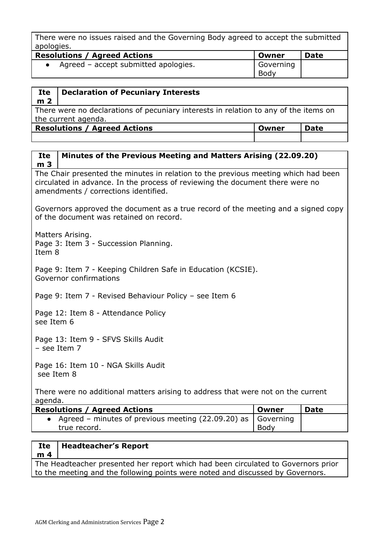There were no issues raised and the Governing Body agreed to accept the submitted apologies.

| <b>Resolutions / Agreed Actions</b>  | Owner             | <b>Date</b> |
|--------------------------------------|-------------------|-------------|
| Agreed – accept submitted apologies. | Governing<br>Body |             |

| Ite            | <b>Declaration of Pecuniary Interests</b>                                            |       |             |
|----------------|--------------------------------------------------------------------------------------|-------|-------------|
|                |                                                                                      |       |             |
| m <sub>2</sub> |                                                                                      |       |             |
|                | There were no declarations of pecuniary interests in relation to any of the items on |       |             |
|                | the current agenda.                                                                  |       |             |
|                | <b>Resolutions / Agreed Actions</b>                                                  | Owner | <b>Date</b> |
|                |                                                                                      |       |             |

### **Ite m 3 Minutes of the Previous Meeting and Matters Arising (22.09.20)**

The Chair presented the minutes in relation to the previous meeting which had been circulated in advance. In the process of reviewing the document there were no amendments / corrections identified.

Governors approved the document as a true record of the meeting and a signed copy of the document was retained on record.

Matters Arising.

Page 3: Item 3 - Succession Planning.

Item 8

Page 9: Item 7 - Keeping Children Safe in Education (KCSIE). Governor confirmations

Page 9: Item 7 - Revised Behaviour Policy – see Item 6

Page 12: Item 8 - Attendance Policy see Item 6

Page 13: Item 9 - SFVS Skills Audit – see Item 7

Page 16: Item 10 - NGA Skills Audit see Item 8

There were no additional matters arising to address that were not on the current agenda.

| <b>Resolutions / Agreed Actions</b>                                                  | Owner | <b>Date</b> |
|--------------------------------------------------------------------------------------|-------|-------------|
| Agreed – minutes of previous meeting (22.09.20) as $\vert$ Governing<br>true record. | Body  |             |
|                                                                                      |       |             |

#### **Ite m 4 Headteacher's Report**

The Headteacher presented her report which had been circulated to Governors prior to the meeting and the following points were noted and discussed by Governors.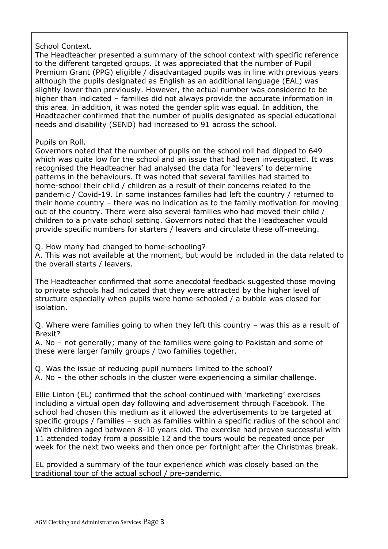# School Context.

The Headteacher presented a summary of the school context with specific reference to the different targeted groups. It was appreciated that the number of Pupil Premium Grant (PPG) eligible / disadvantaged pupils was in line with previous years although the pupils designated as English as an additional language (EAL) was slightly lower than previously. However, the actual number was considered to be higher than indicated – families did not always provide the accurate information in this area. In addition, it was noted the gender split was equal. In addition, the Headteacher confirmed that the number of pupils designated as special educational needs and disability (SEND) had increased to 91 across the school.

# Pupils on Roll.

Governors noted that the number of pupils on the school roll had dipped to 649 which was quite low for the school and an issue that had been investigated. It was recognised the Headteacher had analysed the data for 'leavers' to determine patterns in the behaviours. It was noted that several families had started to home-school their child / children as a result of their concerns related to the pandemic / Covid-19. In some instances families had left the country / returned to their home country – there was no indication as to the family motivation for moving out of the country. There were also several families who had moved their child / children to a private school setting. Governors noted that the Headteacher would provide specific numbers for starters / leavers and circulate these off-meeting.

Q. How many had changed to home-schooling?

A. This was not available at the moment, but would be included in the data related to the overall starts / leavers.

The Headteacher confirmed that some anecdotal feedback suggested those moving to private schools had indicated that they were attracted by the higher level of structure especially when pupils were home-schooled / a bubble was closed for isolation.

Q. Where were families going to when they left this country – was this as a result of Brexit?

A. No – not generally; many of the families were going to Pakistan and some of these were larger family groups / two families together.

Q. Was the issue of reducing pupil numbers limited to the school?

A. No – the other schools in the cluster were experiencing a similar challenge.

Ellie Linton (EL) confirmed that the school continued with 'marketing' exercises including a virtual open day following and advertisement through Facebook. The school had chosen this medium as it allowed the advertisements to be targeted at specific groups / families – such as families within a specific radius of the school and With children aged between 8-10 years old. The exercise had proven successful with 11 attended today from a possible 12 and the tours would be repeated once per week for the next two weeks and then once per fortnight after the Christmas break.

EL provided a summary of the tour experience which was closely based on the traditional tour of the actual school / pre-pandemic.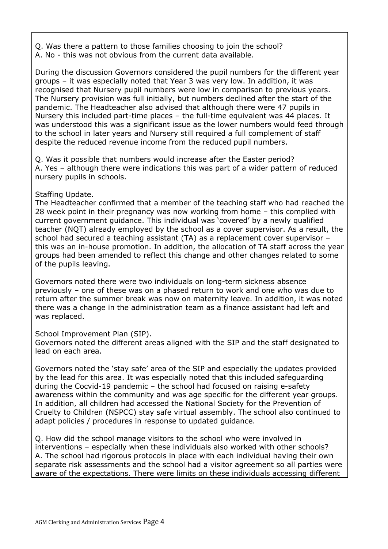Q. Was there a pattern to those families choosing to join the school? A. No - this was not obvious from the current data available.

During the discussion Governors considered the pupil numbers for the different year groups – it was especially noted that Year 3 was very low. In addition, it was recognised that Nursery pupil numbers were low in comparison to previous years. The Nursery provision was full initially, but numbers declined after the start of the pandemic. The Headteacher also advised that although there were 47 pupils in Nursery this included part-time places – the full-time equivalent was 44 places. It was understood this was a significant issue as the lower numbers would feed through to the school in later years and Nursery still required a full complement of staff despite the reduced revenue income from the reduced pupil numbers.

Q. Was it possible that numbers would increase after the Easter period? A. Yes – although there were indications this was part of a wider pattern of reduced nursery pupils in schools.

# Staffing Update.

The Headteacher confirmed that a member of the teaching staff who had reached the 28 week point in their pregnancy was now working from home – this complied with current government guidance. This individual was 'covered' by a newly qualified teacher (NQT) already employed by the school as a cover supervisor. As a result, the school had secured a teaching assistant (TA) as a replacement cover supervisor – this was an in-house promotion. In addition, the allocation of TA staff across the year groups had been amended to reflect this change and other changes related to some of the pupils leaving.

Governors noted there were two individuals on long-term sickness absence previously – one of these was on a phased return to work and one who was due to return after the summer break was now on maternity leave. In addition, it was noted there was a change in the administration team as a finance assistant had left and was replaced.

### School Improvement Plan (SIP).

Governors noted the different areas aligned with the SIP and the staff designated to lead on each area.

Governors noted the 'stay safe' area of the SIP and especially the updates provided by the lead for this area. It was especially noted that this included safeguarding during the Cocvid-19 pandemic – the school had focused on raising e-safety awareness within the community and was age specific for the different year groups. In addition, all children had accessed the National Society for the Prevention of Cruelty to Children (NSPCC) stay safe virtual assembly. The school also continued to adapt policies / procedures in response to updated guidance.

Q. How did the school manage visitors to the school who were involved in interventions – especially when these individuals also worked with other schools? A. The school had rigorous protocols in place with each individual having their own separate risk assessments and the school had a visitor agreement so all parties were aware of the expectations. There were limits on these individuals accessing different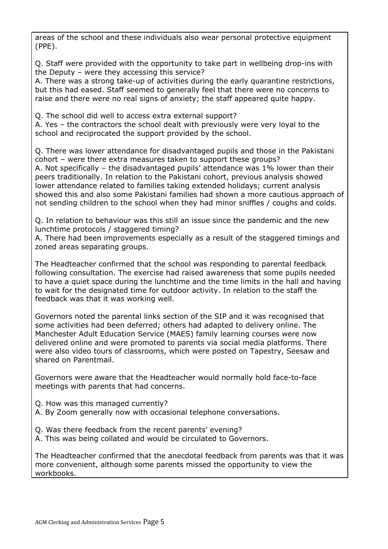areas of the school and these individuals also wear personal protective equipment (PPE).

Q. Staff were provided with the opportunity to take part in wellbeing drop-ins with the Deputy – were they accessing this service?

A. There was a strong take-up of activities during the early quarantine restrictions, but this had eased. Staff seemed to generally feel that there were no concerns to raise and there were no real signs of anxiety; the staff appeared quite happy.

Q. The school did well to access extra external support?

A. Yes – the contractors the school dealt with previously were very loyal to the school and reciprocated the support provided by the school.

Q. There was lower attendance for disadvantaged pupils and those in the Pakistani cohort – were there extra measures taken to support these groups? A. Not specifically – the disadvantaged pupils' attendance was 1% lower than their peers traditionally. In relation to the Pakistani cohort, previous analysis showed lower attendance related to families taking extended holidays; current analysis showed this and also some Pakistani families had shown a more cautious approach of not sending children to the school when they had minor sniffles / coughs and colds.

Q. In relation to behaviour was this still an issue since the pandemic and the new lunchtime protocols / staggered timing?

A. There had been improvements especially as a result of the staggered timings and zoned areas separating groups.

The Headteacher confirmed that the school was responding to parental feedback following consultation. The exercise had raised awareness that some pupils needed to have a quiet space during the lunchtime and the time limits in the hall and having to wait for the designated time for outdoor activity. In relation to the staff the feedback was that it was working well.

Governors noted the parental links section of the SIP and it was recognised that some activities had been deferred; others had adapted to delivery online. The Manchester Adult Education Service (MAES) family learning courses were now delivered online and were promoted to parents via social media platforms. There were also video tours of classrooms, which were posted on Tapestry, Seesaw and shared on Parentmail.

Governors were aware that the Headteacher would normally hold face-to-face meetings with parents that had concerns.

- Q. How was this managed currently?
- A. By Zoom generally now with occasional telephone conversations.
- Q. Was there feedback from the recent parents' evening?
- A. This was being collated and would be circulated to Governors.

The Headteacher confirmed that the anecdotal feedback from parents was that it was more convenient, although some parents missed the opportunity to view the workbooks.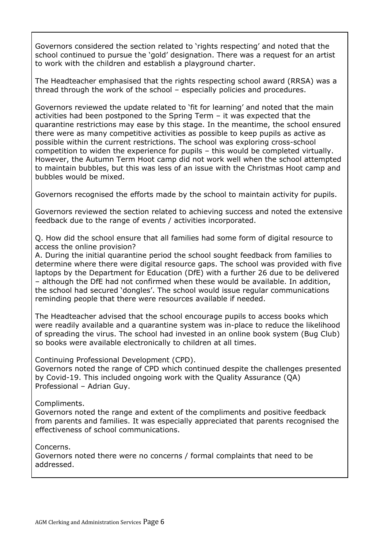Governors considered the section related to 'rights respecting' and noted that the school continued to pursue the 'gold' designation. There was a request for an artist to work with the children and establish a playground charter.

The Headteacher emphasised that the rights respecting school award (RRSA) was a thread through the work of the school – especially policies and procedures.

Governors reviewed the update related to 'fit for learning' and noted that the main activities had been postponed to the Spring Term – it was expected that the quarantine restrictions may ease by this stage. In the meantime, the school ensured there were as many competitive activities as possible to keep pupils as active as possible within the current restrictions. The school was exploring cross-school competition to widen the experience for pupils – this would be completed virtually. However, the Autumn Term Hoot camp did not work well when the school attempted to maintain bubbles, but this was less of an issue with the Christmas Hoot camp and bubbles would be mixed.

Governors recognised the efforts made by the school to maintain activity for pupils.

Governors reviewed the section related to achieving success and noted the extensive feedback due to the range of events / activities incorporated.

Q. How did the school ensure that all families had some form of digital resource to access the online provision?

A. During the initial quarantine period the school sought feedback from families to determine where there were digital resource gaps. The school was provided with five laptops by the Department for Education (DfE) with a further 26 due to be delivered – although the DfE had not confirmed when these would be available. In addition, the school had secured 'dongles'. The school would issue regular communications reminding people that there were resources available if needed.

The Headteacher advised that the school encourage pupils to access books which were readily available and a quarantine system was in-place to reduce the likelihood of spreading the virus. The school had invested in an online book system (Bug Club) so books were available electronically to children at all times.

Continuing Professional Development (CPD).

Governors noted the range of CPD which continued despite the challenges presented by Covid-19. This included ongoing work with the Quality Assurance (QA) Professional – Adrian Guy.

Compliments.

Governors noted the range and extent of the compliments and positive feedback from parents and families. It was especially appreciated that parents recognised the effectiveness of school communications.

Concerns.

Governors noted there were no concerns / formal complaints that need to be addressed.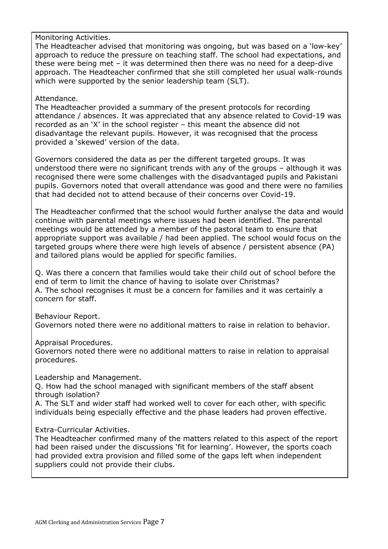Monitoring Activities.

The Headteacher advised that monitoring was ongoing, but was based on a 'low-key' approach to reduce the pressure on teaching staff. The school had expectations, and these were being met – it was determined then there was no need for a deep-dive approach. The Headteacher confirmed that she still completed her usual walk-rounds which were supported by the senior leadership team (SLT).

### Attendance.

The Headteacher provided a summary of the present protocols for recording attendance / absences. It was appreciated that any absence related to Covid-19 was recorded as an 'X' in the school register – this meant the absence did not disadvantage the relevant pupils. However, it was recognised that the process provided a 'skewed' version of the data.

Governors considered the data as per the different targeted groups. It was understood there were no significant trends with any of the groups – although it was recognised there were some challenges with the disadvantaged pupils and Pakistani pupils. Governors noted that overall attendance was good and there were no families that had decided not to attend because of their concerns over Covid-19.

The Headteacher confirmed that the school would further analyse the data and would continue with parental meetings where issues had been identified. The parental meetings would be attended by a member of the pastoral team to ensure that appropriate support was available / had been applied. The school would focus on the targeted groups where there were high levels of absence / persistent absence (PA) and tailored plans would be applied for specific families.

Q. Was there a concern that families would take their child out of school before the end of term to limit the chance of having to isolate over Christmas? A. The school recognises it must be a concern for families and it was certainly a concern for staff.

Behaviour Report. Governors noted there were no additional matters to raise in relation to behavior.

Appraisal Procedures.

Governors noted there were no additional matters to raise in relation to appraisal procedures.

Leadership and Management.

Q. How had the school managed with significant members of the staff absent through isolation?

A. The SLT and wider staff had worked well to cover for each other, with specific individuals being especially effective and the phase leaders had proven effective.

# Extra-Curricular Activities.

The Headteacher confirmed many of the matters related to this aspect of the report had been raised under the discussions 'fit for learning'. However, the sports coach had provided extra provision and filled some of the gaps left when independent suppliers could not provide their clubs.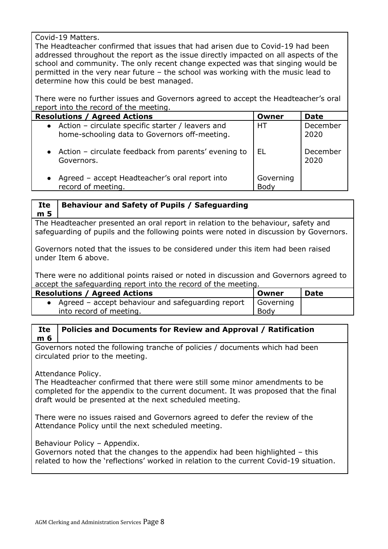Covid-19 Matters.

The Headteacher confirmed that issues that had arisen due to Covid-19 had been addressed throughout the report as the issue directly impacted on all aspects of the school and community. The only recent change expected was that singing would be permitted in the very near future – the school was working with the music lead to determine how this could be best managed.

There were no further issues and Governors agreed to accept the Headteacher's oral report into the record of the meeting.

| <b>Resolutions / Agreed Actions</b>                                                                  | Owner                    | <b>Date</b>      |
|------------------------------------------------------------------------------------------------------|--------------------------|------------------|
| • Action - circulate specific starter / leavers and<br>home-schooling data to Governors off-meeting. | <b>HT</b>                | December<br>2020 |
| • Action – circulate feedback from parents' evening to<br>Governors.                                 | EL                       | December<br>2020 |
| • Agreed – accept Headteacher's oral report into<br>record of meeting.                               | Governing<br><b>Body</b> |                  |

#### **Ite m 5 Behaviour and Safety of Pupils / Safeguarding**

The Headteacher presented an oral report in relation to the behaviour, safety and safeguarding of pupils and the following points were noted in discussion by Governors.

Governors noted that the issues to be considered under this item had been raised under Item 6 above.

There were no additional points raised or noted in discussion and Governors agreed to accept the safeguarding report into the record of the meeting.

| <b>Resolutions / Agreed Actions</b>               | . Owner     | Date |
|---------------------------------------------------|-------------|------|
| Agreed - accept behaviour and safeguarding report | Governing   |      |
| into record of meeting.                           | <b>Body</b> |      |

### **Ite m 6 Policies and Documents for Review and Approval / Ratification**

Governors noted the following tranche of policies / documents which had been circulated prior to the meeting.

# Attendance Policy.

The Headteacher confirmed that there were still some minor amendments to be completed for the appendix to the current document. It was proposed that the final draft would be presented at the next scheduled meeting.

There were no issues raised and Governors agreed to defer the review of the Attendance Policy until the next scheduled meeting.

# Behaviour Policy – Appendix.

Governors noted that the changes to the appendix had been highlighted – this related to how the 'reflections' worked in relation to the current Covid-19 situation.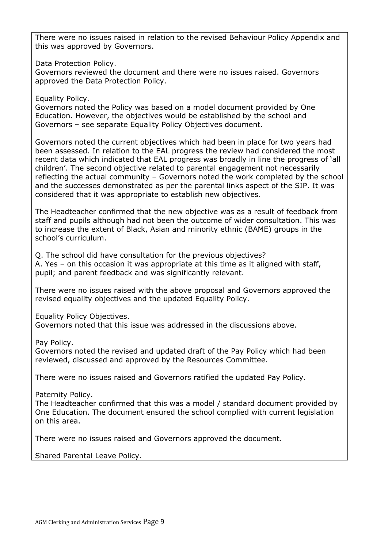There were no issues raised in relation to the revised Behaviour Policy Appendix and this was approved by Governors.

Data Protection Policy.

Governors reviewed the document and there were no issues raised. Governors approved the Data Protection Policy.

Equality Policy.

Governors noted the Policy was based on a model document provided by One Education. However, the objectives would be established by the school and Governors – see separate Equality Policy Objectives document.

Governors noted the current objectives which had been in place for two years had been assessed. In relation to the EAL progress the review had considered the most recent data which indicated that EAL progress was broadly in line the progress of 'all children'. The second objective related to parental engagement not necessarily reflecting the actual community – Governors noted the work completed by the school and the successes demonstrated as per the parental links aspect of the SIP. It was considered that it was appropriate to establish new objectives.

The Headteacher confirmed that the new objective was as a result of feedback from staff and pupils although had not been the outcome of wider consultation. This was to increase the extent of Black, Asian and minority ethnic (BAME) groups in the school's curriculum.

Q. The school did have consultation for the previous objectives? A. Yes – on this occasion it was appropriate at this time as it aligned with staff, pupil; and parent feedback and was significantly relevant.

There were no issues raised with the above proposal and Governors approved the revised equality objectives and the updated Equality Policy.

Equality Policy Objectives.

Governors noted that this issue was addressed in the discussions above.

Pay Policy.

Governors noted the revised and updated draft of the Pay Policy which had been reviewed, discussed and approved by the Resources Committee.

There were no issues raised and Governors ratified the updated Pay Policy.

Paternity Policy.

The Headteacher confirmed that this was a model / standard document provided by One Education. The document ensured the school complied with current legislation on this area.

There were no issues raised and Governors approved the document.

Shared Parental Leave Policy.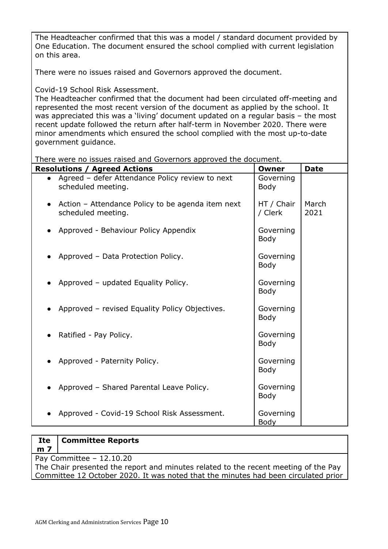The Headteacher confirmed that this was a model / standard document provided by One Education. The document ensured the school complied with current legislation on this area.

There were no issues raised and Governors approved the document.

Covid-19 School Risk Assessment.

The Headteacher confirmed that the document had been circulated off-meeting and represented the most recent version of the document as applied by the school. It was appreciated this was a 'living' document updated on a regular basis – the most recent update followed the return after half-term in November 2020. There were minor amendments which ensured the school complied with the most up-to-date government guidance.

There were no issues raised and Governors approved the document.

| <b>Resolutions / Agreed Actions</b>                                     | Owner                    | <b>Date</b>   |
|-------------------------------------------------------------------------|--------------------------|---------------|
| Agreed - defer Attendance Policy review to next<br>scheduled meeting.   | Governing<br><b>Body</b> |               |
| Action – Attendance Policy to be agenda item next<br>scheduled meeting. | HT / Chair<br>/ Clerk    | March<br>2021 |
| • Approved - Behaviour Policy Appendix                                  | Governing<br><b>Body</b> |               |
| Approved - Data Protection Policy.                                      | Governing<br><b>Body</b> |               |
| Approved - updated Equality Policy.                                     | Governing<br><b>Body</b> |               |
| Approved - revised Equality Policy Objectives.                          | Governing<br><b>Body</b> |               |
| Ratified - Pay Policy.                                                  | Governing<br><b>Body</b> |               |
| Approved - Paternity Policy.                                            | Governing<br><b>Body</b> |               |
| Approved - Shared Parental Leave Policy.                                | Governing<br><b>Body</b> |               |
| Approved - Covid-19 School Risk Assessment.                             | Governing<br>Body        |               |

#### **Ite m 7 Committee Reports**

Pay Committee – 12.10.20

The Chair presented the report and minutes related to the recent meeting of the Pay Committee 12 October 2020. It was noted that the minutes had been circulated prior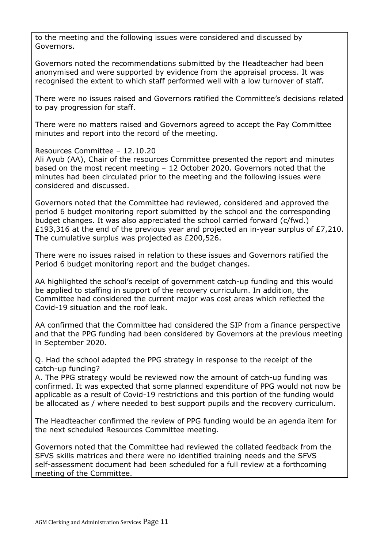to the meeting and the following issues were considered and discussed by Governors.

Governors noted the recommendations submitted by the Headteacher had been anonymised and were supported by evidence from the appraisal process. It was recognised the extent to which staff performed well with a low turnover of staff.

There were no issues raised and Governors ratified the Committee's decisions related to pay progression for staff.

There were no matters raised and Governors agreed to accept the Pay Committee minutes and report into the record of the meeting.

### Resources Committee – 12.10.20

Ali Ayub (AA), Chair of the resources Committee presented the report and minutes based on the most recent meeting – 12 October 2020. Governors noted that the minutes had been circulated prior to the meeting and the following issues were considered and discussed.

Governors noted that the Committee had reviewed, considered and approved the period 6 budget monitoring report submitted by the school and the corresponding budget changes. It was also appreciated the school carried forward (c/fwd.) £193,316 at the end of the previous year and projected an in-year surplus of £7,210. The cumulative surplus was projected as £200,526.

There were no issues raised in relation to these issues and Governors ratified the Period 6 budget monitoring report and the budget changes.

AA highlighted the school's receipt of government catch-up funding and this would be applied to staffing in support of the recovery curriculum. In addition, the Committee had considered the current major was cost areas which reflected the Covid-19 situation and the roof leak.

AA confirmed that the Committee had considered the SIP from a finance perspective and that the PPG funding had been considered by Governors at the previous meeting in September 2020.

Q. Had the school adapted the PPG strategy in response to the receipt of the catch-up funding?

A. The PPG strategy would be reviewed now the amount of catch-up funding was confirmed. It was expected that some planned expenditure of PPG would not now be applicable as a result of Covid-19 restrictions and this portion of the funding would be allocated as / where needed to best support pupils and the recovery curriculum.

The Headteacher confirmed the review of PPG funding would be an agenda item for the next scheduled Resources Committee meeting.

Governors noted that the Committee had reviewed the collated feedback from the SFVS skills matrices and there were no identified training needs and the SFVS self-assessment document had been scheduled for a full review at a forthcoming meeting of the Committee.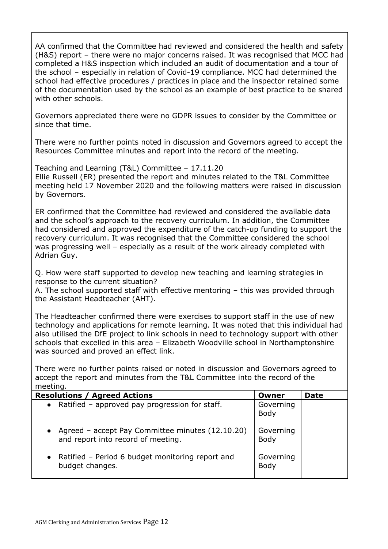AA confirmed that the Committee had reviewed and considered the health and safety (H&S) report – there were no major concerns raised. It was recognised that MCC had completed a H&S inspection which included an audit of documentation and a tour of the school – especially in relation of Covid-19 compliance. MCC had determined the school had effective procedures / practices in place and the inspector retained some of the documentation used by the school as an example of best practice to be shared with other schools.

Governors appreciated there were no GDPR issues to consider by the Committee or since that time.

There were no further points noted in discussion and Governors agreed to accept the Resources Committee minutes and report into the record of the meeting.

Teaching and Learning (T&L) Committee – 17.11.20 Ellie Russell (ER) presented the report and minutes related to the T&L Committee meeting held 17 November 2020 and the following matters were raised in discussion by Governors.

ER confirmed that the Committee had reviewed and considered the available data and the school's approach to the recovery curriculum. In addition, the Committee had considered and approved the expenditure of the catch-up funding to support the recovery curriculum. It was recognised that the Committee considered the school was progressing well – especially as a result of the work already completed with Adrian Guy.

Q. How were staff supported to develop new teaching and learning strategies in response to the current situation?

A. The school supported staff with effective mentoring – this was provided through the Assistant Headteacher (AHT).

The Headteacher confirmed there were exercises to support staff in the use of new technology and applications for remote learning. It was noted that this individual had also utilised the DfE project to link schools in need to technology support with other schools that excelled in this area – Elizabeth Woodville school in Northamptonshire was sourced and proved an effect link.

There were no further points raised or noted in discussion and Governors agreed to accept the report and minutes from the T&L Committee into the record of the meeting.

| <b>Resolutions / Agreed Actions</b>                                                                 | Owner             | <b>Date</b> |
|-----------------------------------------------------------------------------------------------------|-------------------|-------------|
| • Ratified - approved pay progression for staff.                                                    | Governing<br>Body |             |
| Agreed - accept Pay Committee minutes (12.10.20)<br>$\bullet$<br>and report into record of meeting. | Governing<br>Body |             |
| • Ratified – Period 6 budget monitoring report and<br>budget changes.                               | Governing<br>Body |             |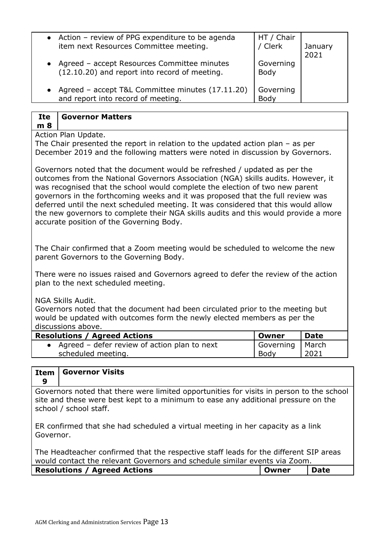| • Action – review of PPG expenditure to be agenda<br>HT / Chair<br>/ Clerk<br>item next Resources Committee meeting.     |                 |
|--------------------------------------------------------------------------------------------------------------------------|-----------------|
|                                                                                                                          | January<br>2021 |
| Agreed - accept Resources Committee minutes<br>Governing<br>(12.10.20) and report into record of meeting.<br><b>Body</b> |                 |
| Agreed - accept T&L Committee minutes (17.11.20)<br>Governing<br>and report into record of meeting.<br>Body              |                 |

#### **Ite Governor Matters**

**m 8**

Action Plan Update.

The Chair presented the report in relation to the updated action plan – as per December 2019 and the following matters were noted in discussion by Governors.

Governors noted that the document would be refreshed / updated as per the outcomes from the National Governors Association (NGA) skills audits. However, it was recognised that the school would complete the election of two new parent governors in the forthcoming weeks and it was proposed that the full review was deferred until the next scheduled meeting. It was considered that this would allow the new governors to complete their NGA skills audits and this would provide a more accurate position of the Governing Body.

The Chair confirmed that a Zoom meeting would be scheduled to welcome the new parent Governors to the Governing Body.

There were no issues raised and Governors agreed to defer the review of the action plan to the next scheduled meeting.

NGA Skills Audit.

Governors noted that the document had been circulated prior to the meeting but would be updated with outcomes form the newly elected members as per the discussions above.

| <b>Resolutions / Agreed Actions</b>          | Owner             | Date |
|----------------------------------------------|-------------------|------|
| Agreed - defer review of action plan to next | Governing   March |      |
| scheduled meeting.                           | Body              | 2021 |

| <b>Item</b><br>9 | <b>Governor Visits</b>                                                                                                                                                                                  |  |  |  |
|------------------|---------------------------------------------------------------------------------------------------------------------------------------------------------------------------------------------------------|--|--|--|
|                  | Governors noted that there were limited opportunities for visits in person to the school<br>site and these were best kept to a minimum to ease any additional pressure on the<br>school / school staff. |  |  |  |
| Governor.        | ER confirmed that she had scheduled a virtual meeting in her capacity as a link                                                                                                                         |  |  |  |
|                  | The Headteacher confirmed that the respective staff leads for the different SIP areas<br>would contact the relevant Governors and schedule similar events via Zoom.                                     |  |  |  |

| <b>Resolutions / Agreed Actions</b> | l Owner | Date |  |
|-------------------------------------|---------|------|--|
|                                     |         |      |  |